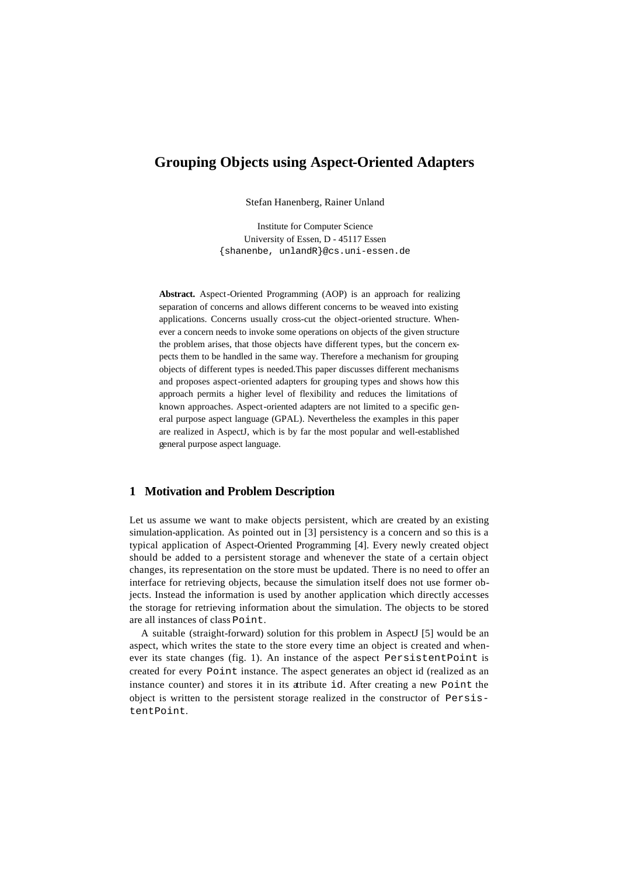# **Grouping Objects using Aspect-Oriented Adapters**

Stefan Hanenberg, Rainer Unland

Institute for Computer Science University of Essen, D - 45117 Essen {shanenbe, unlandR}@cs.uni-essen.de

**Abstract.** Aspect-Oriented Programming (AOP) is an approach for realizing separation of concerns and allows different concerns to be weaved into existing applications. Concerns usually cross-cut the object-oriented structure. Whenever a concern needs to invoke some operations on objects of the given structure the problem arises, that those objects have different types, but the concern expects them to be handled in the same way. Therefore a mechanism for grouping objects of different types is needed.This paper discusses different mechanisms and proposes aspect-oriented adapters for grouping types and shows how this approach permits a higher level of flexibility and reduces the limitations of known approaches. Aspect-oriented adapters are not limited to a specific general purpose aspect language (GPAL). Nevertheless the examples in this paper are realized in AspectJ, which is by far the most popular and well-established general purpose aspect language.

### **1 Motivation and Problem Description**

Let us assume we want to make objects persistent, which are created by an existing simulation-application. As pointed out in [3] persistency is a concern and so this is a typical application of Aspect-Oriented Programming [4]. Every newly created object should be added to a persistent storage and whenever the state of a certain object changes, its representation on the store must be updated. There is no need to offer an interface for retrieving objects, because the simulation itself does not use former objects. Instead the information is used by another application which directly accesses the storage for retrieving information about the simulation. The objects to be stored are all instances of class Point.

A suitable (straight-forward) solution for this problem in AspectJ [5] would be an aspect, which writes the state to the store every time an object is created and whenever its state changes (fig. 1). An instance of the aspect PersistentPoint is created for every Point instance. The aspect generates an object id (realized as an instance counter) and stores it in its attribute id. After creating a new Point the object is written to the persistent storage realized in the constructor of PersistentPoint.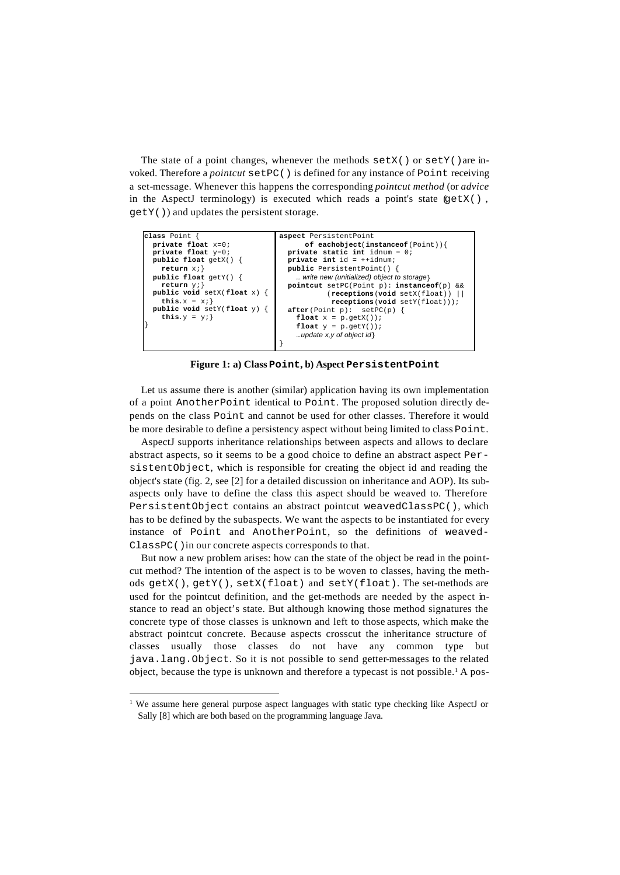The state of a point changes, whenever the methods  $setX()$  or  $setY()$  are invoked. Therefore a *pointcut* setPC() is defined for any instance of Point receiving a set-message. Whenever this happens the corresponding *pointcut method* (or *advice* in the AspectJ terminology) is executed which reads a point's state (getX() , getY()) and updates the persistent storage.

```
aspect PersistentPoint 
                                            of eachobject(instanceof(Point)){
                                      private static int idnum = 0;
 private int id = ++idnum;
                                        public PersistentPoint() {
                                          .. write new (unitialized) object to storage}
                                        pointcut setPC(Point p): instanceof(p) && 
                                                   (receptions(void setX(float)) ||
                                                    receptions(void setY(float)));
                                      after(Point p): setPC(p) {
 float x = p.getX());
                                         float y = p.getY();
                                          …update x,y of object id}
                                     }
class Point
  private float x=0;
  private float y=0;
  public float getX() {
     return x;}
  public float getY() {
     return y;}
  public void setX(float x) {
    this.x = x_i}
  public void setY(float y) {
    this.y = yi}
```
**Figure 1: a) Class Point, b) Aspect PersistentPoint**

Let us assume there is another (similar) application having its own implementation of a point AnotherPoint identical to Point. The proposed solution directly depends on the class Point and cannot be used for other classes. Therefore it would be more desirable to define a persistency aspect without being limited to class Point.

AspectJ supports inheritance relationships between aspects and allows to declare abstract aspects, so it seems to be a good choice to define an abstract aspect PersistentObject, which is responsible for creating the object id and reading the object's state (fig. 2, see [2] for a detailed discussion on inheritance and AOP). Its subaspects only have to define the class this aspect should be weaved to. Therefore PersistentObject contains an abstract pointcut weavedClassPC(), which has to be defined by the subaspects. We want the aspects to be instantiated for every instance of Point and AnotherPoint, so the definitions of weaved-ClassPC()in our concrete aspects corresponds to that.

But now a new problem arises: how can the state of the object be read in the pointcut method? The intention of the aspect is to be woven to classes, having the methods getX(), getY(), setX(float) and setY(float). The set-methods are used for the pointcut definition, and the get-methods are needed by the aspect instance to read an object's state. But although knowing those method signatures the concrete type of those classes is unknown and left to those aspects, which make the abstract pointcut concrete. Because aspects crosscut the inheritance structure of classes usually those classes do not have any common type but java.lang.Object. So it is not possible to send getter-messages to the related object, because the type is unknown and therefore a typecast is not possible.<sup>1</sup> A pos-

l

<sup>&</sup>lt;sup>1</sup> We assume here general purpose aspect languages with static type checking like AspectJ or Sally [8] which are both based on the programming language Java.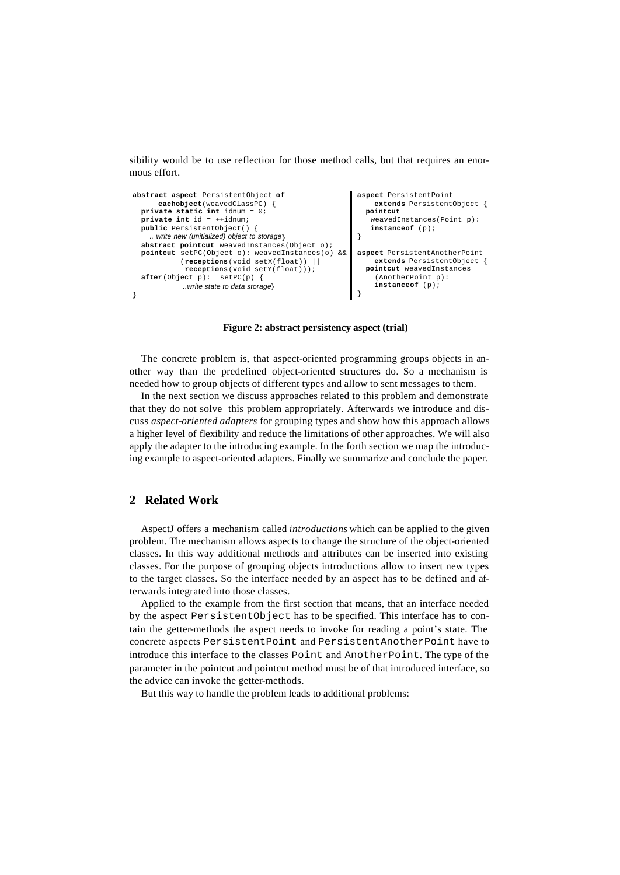sibility would be to use reflection for those method calls, but that requires an enormous effort.



**Figure 2: abstract persistency aspect (trial)**

The concrete problem is, that aspect-oriented programming groups objects in another way than the predefined object-oriented structures do. So a mechanism is needed how to group objects of different types and allow to sent messages to them.

In the next section we discuss approaches related to this problem and demonstrate that they do not solve this problem appropriately. Afterwards we introduce and discuss *aspect-oriented adapters* for grouping types and show how this approach allows a higher level of flexibility and reduce the limitations of other approaches. We will also apply the adapter to the introducing example. In the forth section we map the introducing example to aspect-oriented adapters. Finally we summarize and conclude the paper.

# **2 Related Work**

AspectJ offers a mechanism called *introductions* which can be applied to the given problem. The mechanism allows aspects to change the structure of the object-oriented classes. In this way additional methods and attributes can be inserted into existing classes. For the purpose of grouping objects introductions allow to insert new types to the target classes. So the interface needed by an aspect has to be defined and afterwards integrated into those classes.

Applied to the example from the first section that means, that an interface needed by the aspect PersistentObject has to be specified. This interface has to contain the getter-methods the aspect needs to invoke for reading a point's state. The concrete aspects PersistentPoint and PersistentAnotherPoint have to introduce this interface to the classes Point and AnotherPoint. The type of the parameter in the pointcut and pointcut method must be of that introduced interface, so the advice can invoke the getter-methods.

But this way to handle the problem leads to additional problems: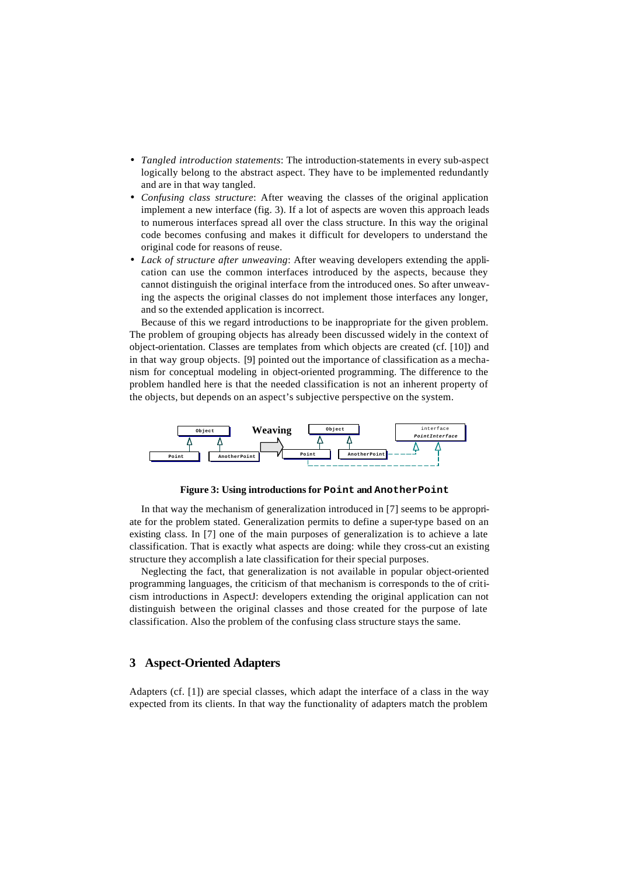- *Tangled introduction statements*: The introduction-statements in every sub-aspect logically belong to the abstract aspect. They have to be implemented redundantly and are in that way tangled.
- *Confusing class structure*: After weaving the classes of the original application implement a new interface (fig. 3). If a lot of aspects are woven this approach leads to numerous interfaces spread all over the class structure. In this way the original code becomes confusing and makes it difficult for developers to understand the original code for reasons of reuse.
- *Lack of structure after unweaving*: After weaving developers extending the application can use the common interfaces introduced by the aspects, because they cannot distinguish the original interface from the introduced ones. So after unweaving the aspects the original classes do not implement those interfaces any longer, and so the extended application is incorrect.

Because of this we regard introductions to be inappropriate for the given problem. The problem of grouping objects has already been discussed widely in the context of object-orientation. Classes are templates from which objects are created (cf. [10]) and in that way group objects. [9] pointed out the importance of classification as a mechanism for conceptual modeling in object-oriented programming. The difference to the problem handled here is that the needed classification is not an inherent property of the objects, but depends on an aspect's subjective perspective on the system.



**Figure 3: Using introductions for Point and AnotherPoint**

In that way the mechanism of generalization introduced in [7] seems to be appropriate for the problem stated. Generalization permits to define a super-type based on an existing class. In [7] one of the main purposes of generalization is to achieve a late classification. That is exactly what aspects are doing: while they cross-cut an existing structure they accomplish a late classification for their special purposes.

Neglecting the fact, that generalization is not available in popular object-oriented programming languages, the criticism of that mechanism is corresponds to the of criticism introductions in AspectJ: developers extending the original application can not distinguish between the original classes and those created for the purpose of late classification. Also the problem of the confusing class structure stays the same.

### **3 Aspect-Oriented Adapters**

Adapters (cf. [1]) are special classes, which adapt the interface of a class in the way expected from its clients. In that way the functionality of adapters match the problem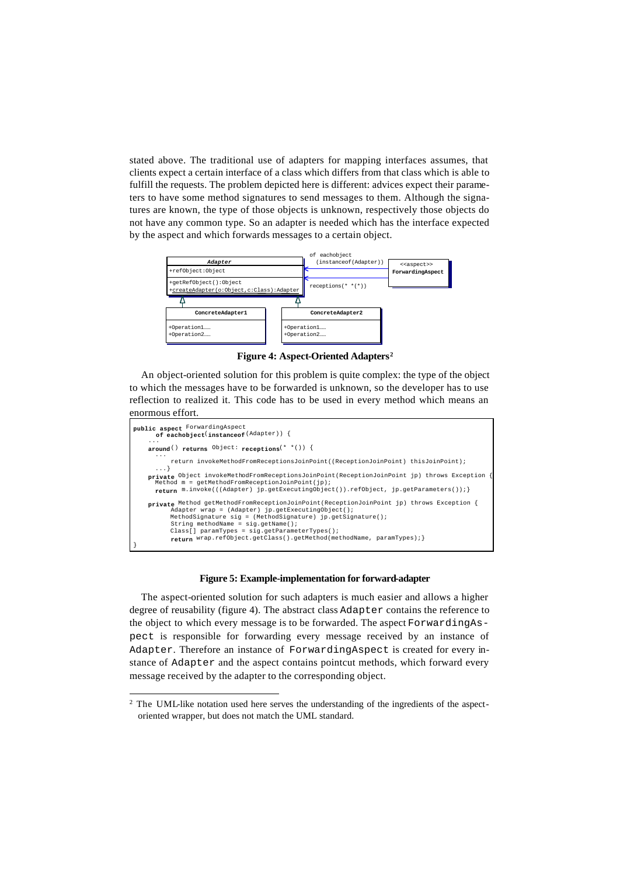stated above. The traditional use of adapters for mapping interfaces assumes, that clients expect a certain interface of a class which differs from that class which is able to fulfill the requests. The problem depicted here is different: advices expect their parameters to have some method signatures to send messages to them. Although the signatures are known, the type of those objects is unknown, respectively those objects do not have any common type. So an adapter is needed which has the interface expected by the aspect and which forwards messages to a certain object.



**Figure 4: Aspect-Oriented Adapters<sup>2</sup>**

An object-oriented solution for this problem is quite complex: the type of the object to which the messages have to be forwarded is unknown, so the developer has to use reflection to realized it. This code has to be used in every method which means an enormous effort.

```
public aspect ForwardingAspect 
 of eachobject(instanceof(Adapter)) {
 ...
 around() returns Object: receptions(* *()) {
...
              return invokeMethodFromReceptionsJoinPoint((ReceptionJoinPoint) thisJoinPoint);
        ...}
 private Object invokeMethodFromReceptionsJoinPoint(ReceptionJoinPoint jp) throws Exception {
Method m = getMethodFromReceptionJoinPoint(jp);
       return m.invoke(((Adapter) jp.getExecutingObject()).refObject, jp.getParameters());}
private Method getMethodFromReceptionJoinPoint(ReceptionJoinPoint jp) throws Exception {<br>Adapter wrap = (Adapter) jp.getExecutingObject();<br>MethodSignature sig = (MethodSignature) jp.getSignature();<br>String methodName = sig.
              return wrap.refObject.getClass().getMethod(methodName, paramTypes);}
}
```
#### **Figure 5: Example-implementation for forward-adapter**

The aspect-oriented solution for such adapters is much easier and allows a higher degree of reusability (figure 4). The abstract class Adapter contains the reference to the object to which every message is to be forwarded. The aspect ForwardingAspect is responsible for forwarding every message received by an instance of Adapter. Therefore an instance of ForwardingAspect is created for every instance of Adapter and the aspect contains pointcut methods, which forward every message received by the adapter to the corresponding object.

l

<sup>&</sup>lt;sup>2</sup> The UML-like notation used here serves the understanding of the ingredients of the aspectoriented wrapper, but does not match the UML standard.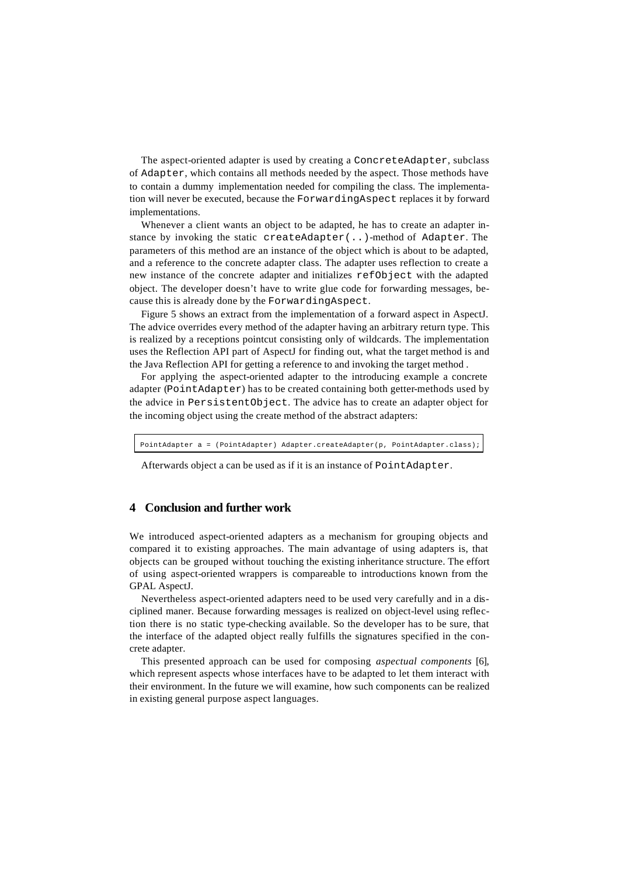The aspect-oriented adapter is used by creating a ConcreteAdapter, subclass of Adapter, which contains all methods needed by the aspect. Those methods have to contain a dummy implementation needed for compiling the class. The implementation will never be executed, because the ForwardingAspect replaces it by forward implementations.

Whenever a client wants an object to be adapted, he has to create an adapter instance by invoking the static createAdapter(..)-method of Adapter. The parameters of this method are an instance of the object which is about to be adapted, and a reference to the concrete adapter class. The adapter uses reflection to create a new instance of the concrete adapter and initializes refObject with the adapted object. The developer doesn't have to write glue code for forwarding messages, because this is already done by the ForwardingAspect.

Figure 5 shows an extract from the implementation of a forward aspect in AspectJ. The advice overrides every method of the adapter having an arbitrary return type. This is realized by a receptions pointcut consisting only of wildcards. The implementation uses the Reflection API part of AspectJ for finding out, what the target method is and the Java Reflection API for getting a reference to and invoking the target method .

For applying the aspect-oriented adapter to the introducing example a concrete adapter (PointAdapter) has to be created containing both getter-methods used by the advice in PersistentObject. The advice has to create an adapter object for the incoming object using the create method of the abstract adapters:

PointAdapter a = (PointAdapter) Adapter.createAdapter(p, PointAdapter.class);

Afterwards object a can be used as if it is an instance of PointAdapter.

# **4 Conclusion and further work**

We introduced aspect-oriented adapters as a mechanism for grouping objects and compared it to existing approaches. The main advantage of using adapters is, that objects can be grouped without touching the existing inheritance structure. The effort of using aspect-oriented wrappers is compareable to introductions known from the GPAL AspectJ.

Nevertheless aspect-oriented adapters need to be used very carefully and in a disciplined maner. Because forwarding messages is realized on object-level using reflection there is no static type-checking available. So the developer has to be sure, that the interface of the adapted object really fulfills the signatures specified in the concrete adapter.

This presented approach can be used for composing *aspectual components* [6], which represent aspects whose interfaces have to be adapted to let them interact with their environment. In the future we will examine, how such components can be realized in existing general purpose aspect languages.